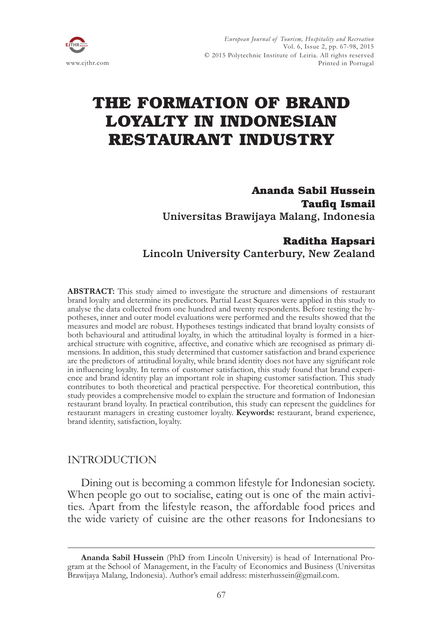

# **THE FORMATION OF BRAND LOYALTY IN INDONESIAN RESTAURANT INDUSTRY**

**Ananda Sabil Hussein Taufiq Ismail** Universitas Brawijaya Malang, Indonesia

# **Raditha Hapsari** Lincoln University Canterbury, New Zealand

**ABSTRACT:** This study aimed to investigate the structure and dimensions of restaurant brand loyalty and determine its predictors. Partial Least Squares were applied in this study to analyse the data collected from one hundred and twenty respondents. Before testing the hypotheses, inner and outer model evaluations were performed and the results showed that the measures and model are robust. Hypotheses testings indicated that brand loyalty consists of both behavioural and attitudinal loyalty, in which the attitudinal loyalty is formed in a hierarchical structure with cognitive, affective, and conative which are recognised as primary dimensions. In addition, this study determined that customer satisfaction and brand experience are the predictors of attitudinal loyalty, while brand identity does not have any significant role in influencing loyalty. In terms of customer satisfaction, this study found that brand experience and brand identity play an important role in shaping customer satisfaction. This study contributes to both theoretical and practical perspective. For theoretical contribution, this study provides a comprehensive model to explain the structure and formation of Indonesian restaurant brand loyalty. In practical contribution, this study can represent the guidelines for restaurant managers in creating customer loyalty. **Keywords:** restaurant, brand experience, brand identity, satisfaction, loyalty.

# INTRODUCTION

Dining out is becoming a common lifestyle for Indonesian society. When people go out to socialise, eating out is one of the main activities. Apart from the lifestyle reason, the affordable food prices and the wide variety of cuisine are the other reasons for Indonesians to

**Ananda Sabil Hussein** (PhD from Lincoln University) is head of International Program at the School of Management, in the Faculty of Economics and Business (Universitas Brawijaya Malang, Indonesia). Author's email address: misterhussein@gmail.com.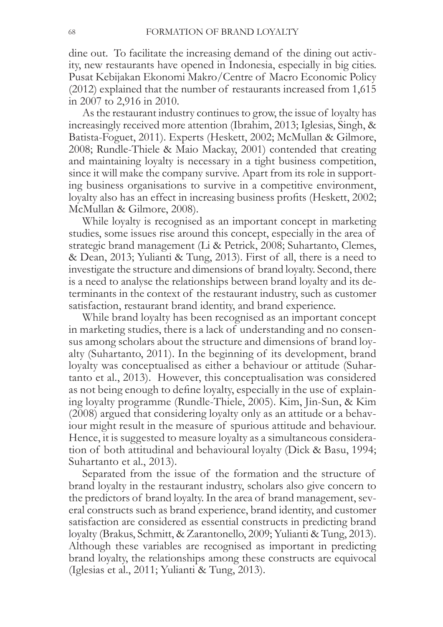dine out. To facilitate the increasing demand of the dining out activity, new restaurants have opened in Indonesia, especially in big cities. Pusat Kebijakan Ekonomi Makro/Centre of Macro Economic Policy  $(2012)$  explained that the number of restaurants increased from 1,615 in 2007 to 2,916 in 2010.

As the restaurant industry continues to grow, the issue of loyalty has increasingly received more attention (Ibrahim, 2013; Iglesias, Singh,  $\&$ Batista-Foguet, 2011). Experts (Heskett, 2002; McMullan & Gilmore, 2008; Rundle-Thiele & Maio Mackay, 2001) contended that creating and maintaining loyalty is necessary in a tight business competition, since it will make the company survive. Apart from its role in supporting business organisations to survive in a competitive environment, loyalty also has an effect in increasing business profits (Heskett, 2002; McMullan & Gilmore, 2008).

While loyalty is recognised as an important concept in marketing studies, some issues rise around this concept, especially in the area of strategic brand management (Li & Petrick, 2008; Suhartanto, Clemes, & Dean, 2013; Yulianti & Tung, 2013). First of all, there is a need to investigate the structure and dimensions of brand loyalty. Second, there is a need to analyse the relationships between brand loyalty and its determinants in the context of the restaurant industry, such as customer satisfaction, restaurant brand identity, and brand experience.

While brand loyalty has been recognised as an important concept in marketing studies, there is a lack of understanding and no consensus among scholars about the structure and dimensions of brand loyalty (Suhartanto, 2011). In the beginning of its development, brand loyalty was conceptualised as either a behaviour or attitude (Suhartanto et al., 2013). However, this conceptualisation was considered as not being enough to define loyalty, especially in the use of explaining loyalty programme (Rundle-Thiele, 2005). Kim, Jin-Sun,  $\&$  Kim  $(2008)$  argued that considering loyalty only as an attitude or a behaviour might result in the measure of spurious attitude and behaviour. Hence, it is suggested to measure loyalty as a simultaneous consideration of both attitudinal and behavioural loyalty (Dick & Basu, 1994; Suhartanto et al., 2013).

Separated from the issue of the formation and the structure of brand loyalty in the restaurant industry, scholars also give concern to the predictors of brand loyalty. In the area of brand management, several constructs such as brand experience, brand identity, and customer satisfaction are considered as essential constructs in predicting brand loyalty (Brakus, Schmitt, & Zarantonello, 2009; Yulianti & Tung, 2013). Although these variables are recognised as important in predicting brand loyalty, the relationships among these constructs are equivocal  $(I$ glesias et al., 2011; Yulianti & Tung, 2013).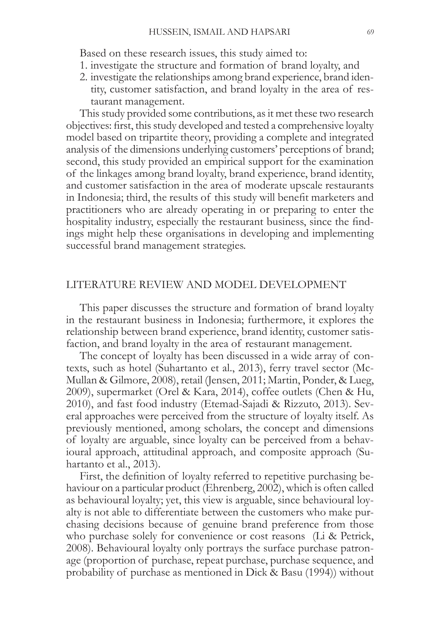Based on these research issues, this study aimed to:

- 1. investigate the structure and formation of brand loyalty, and
- 2. investigate the relationships among brand experience, brand identity, customer satisfaction, and brand loyalty in the area of restaurant management.

This study provided some contributions, as it met these two research objectives: first, this study developed and tested a comprehensive loyalty model based on tripartite theory, providing a complete and integrated analysis of the dimensions underlying customers' perceptions of brand; second, this study provided an empirical support for the examination of the linkages among brand loyalty, brand experience, brand identity, and customer satisfaction in the area of moderate upscale restaurants in Indonesia; third, the results of this study will benefit marketers and practitioners who are already operating in or preparing to enter the hospitality industry, especially the restaurant business, since the findings might help these organisations in developing and implementing successful brand management strategies.

# LITERATURE REVIEW AND MODEL DEVELOPMENT

This paper discusses the structure and formation of brand loyalty in the restaurant business in Indonesia; furthermore, it explores the relationship between brand experience, brand identity, customer satisfaction, and brand loyalty in the area of restaurant management.

The concept of loyalty has been discussed in a wide array of contexts, such as hotel (Suhartanto et al., 2013), ferry travel sector (Mc-Mullan & Gilmore, 2008), retail (Jensen, 2011; Martin, Ponder, & Lueg, 2009), supermarket (Orel & Kara, 2014), coffee outlets (Chen & Hu, 2010), and fast food industry (Etemad-Sajadi & Rizzuto, 2013). Several approaches were perceived from the structure of loyalty itself. As previously mentioned, among scholars, the concept and dimensions of loyalty are arguable, since loyalty can be perceived from a behavioural approach, attitudinal approach, and composite approach (Suhartanto et al.,  $2013$ ).

First, the definition of loyalty referred to repetitive purchasing behaviour on a particular product (Ehrenberg, 2002), which is often called as behavioural loyalty; yet, this view is arguable, since behavioural loyalty is not able to differentiate between the customers who make purchasing decisions because of genuine brand preference from those who purchase solely for convenience or cost reasons (Li & Petrick, 2008). Behavioural loyalty only portrays the surface purchase patronage (proportion of purchase, repeat purchase, purchase sequence, and probability of purchase as mentioned in Dick & Basu  $(1994)$ ) without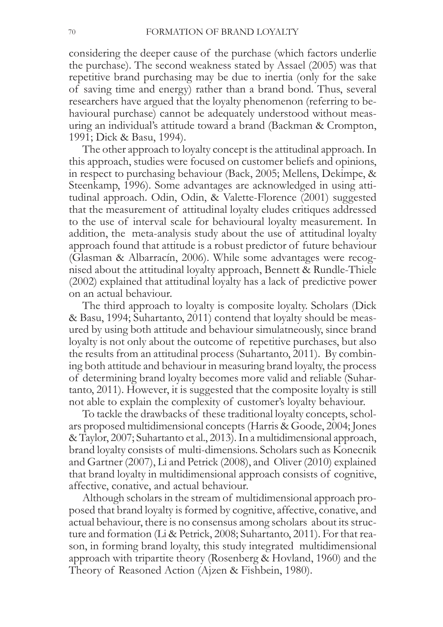considering the deeper cause of the purchase (which factors underlie the purchase). The second weakness stated by Assael  $(2005)$  was that repetitive brand purchasing may be due to inertia (only for the sake of saving time and energy) rather than a brand bond. Thus, several researchers have argued that the loyalty phenomenon (referring to behavioural purchase) cannot be adequately understood without measuring an individual's attitude toward a brand (Backman & Crompton, 1991; Dick & Basu, 1994).

The other approach to loyalty concept is the attitudinal approach. In this approach, studies were focused on customer beliefs and opinions, in respect to purchasing behaviour (Back, 2005; Mellens, Dekimpe,  $\&$ Steenkamp, 1996). Some advantages are acknowledged in using attitudinal approach. Odin, Odin, & Valette-Florence (2001) suggested that the measurement of attitudinal loyalty eludes critiques addressed to the use of interval scale for behavioural loyalty measurement. In addition, the meta-analysis study about the use of attitudinal loyalty approach found that attitude is a robust predictor of future behaviour (Glasman & Albarracín, 2006). While some advantages were recogmised about the attitudinal loyalty approach, Bennett & Rundle-Thiele  $(2002)$  explained that attitudinal loyalty has a lack of predictive power on an actual behaviour.

The third approach to loyalty is composite loyalty. Scholars (Dick) & Basu, 1994; Suhartanto, 2011) contend that loyalty should be measured by using both attitude and behaviour simulatneously, since brand loyalty is not only about the outcome of repetitive purchases, but also the results from an attitudinal process (Suhartanto, 2011). By combining both attitude and behaviour in measuring brand loyalty, the process of determining brand loyalty becomes more valid and reliable (Suhar $t$ anto, 2011). However, it is suggested that the composite loyalty is still not able to explain the complexity of customer's loyalty behaviour.

To tackle the drawbacks of these traditional loyalty concepts, scholars proposed multidimensional concepts (Harris & Goode, 2004; Jones & Taylor, 2007; Suhartanto et al., 2013). In a multidimensional approach, brand loyalty consists of multi-dimensions. Scholars such as Konecnik and Gartner (2007), Li and Petrick (2008), and Oliver (2010) explained that brand loyalty in multidimensional approach consists of cognitive, affective, conative, and actual behaviour.

Although scholars in the stream of multidimensional approach proposed that brand loyalty is formed by cognitive, affective, conative, and actual behaviour, there is no consensus among scholars about its structure and formation (Li & Petrick, 2008; Suhartanto, 2011). For that reason, in forming brand loyalty, this study integrated multidimensional approach with tripartite theory (Rosenberg  $\&$  Hovland, 1960) and the Theory of Reasoned Action (Ajzen & Fishbein, 1980).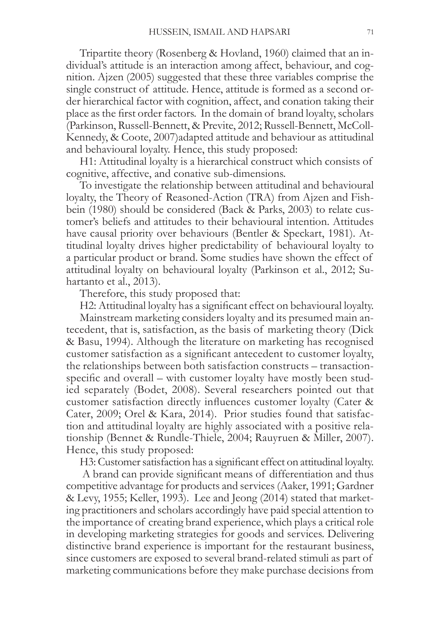Tripartite theory (Rosenberg & Hovland, 1960) claimed that an individual's attitude is an interaction among affect, behaviour, and cognition. Ajzen (2005) suggested that these three variables comprise the single construct of attitude. Hence, attitude is formed as a second order hierarchical factor with cognition, affect, and conation taking their place as the first order factors. In the domain of brand loyalty, scholars (Parkinson, Russell-Bennett, & Previte, 2012; Russell-Bennett, McColl-Kennedy, & Coote, 2007) adapted attitude and behaviour as attitudinal and behavioural loyalty. Hence, this study proposed:

H1: Attitudinal loyalty is a hierarchical construct which consists of cognitive, affective, and conative sub-dimensions.

To investigate the relationship between attitudinal and behavioural loyalty, the Theory of Reasoned-Action (TRA) from Ajzen and Fishbein (1980) should be considered (Back  $\&$  Parks, 2003) to relate customer's beliefs and attitudes to their behavioural intention. Attitudes have causal priority over behaviours (Bentler & Speckart, 1981). Attitudinal loyalty drives higher predictability of behavioural loyalty to a particular product or brand. Some studies have shown the effect of attitudinal loyalty on behavioural loyalty (Parkinson et al., 2012; Suhartanto et al., 2013).

Therefore, this study proposed that:

H2: Attitudinal loyalty has a significant effect on behavioural loyalty. Mainstream marketing considers loyalty and its presumed main antecedent, that is, satisfaction, as the basis of marketing theory (Dick & Basu, 1994). Although the literature on marketing has recognised customer satisfaction as a significant antecedent to customer loyalty, the relationships between both satisfaction constructs – transactionspecific and overall – with customer loyalty have mostly been studied separately (Bodet, 2008). Several researchers pointed out that customer satisfaction directly influences customer loyalty (Cater & Cater, 2009; Orel & Kara, 2014). Prior studies found that satisfac-

tion and attitudinal loyalty are highly associated with a positive relationship (Bennet & Rundle-Thiele, 2004; Rauyruen & Miller, 2007). Hence, this study proposed:

H3: Customer satisfaction has a significant effect on attitudinal loyalty.

A brand can provide significant means of differentiation and thus competitive advantage for products and services (Aaker, 1991; Gardner & Levy, 1955; Keller, 1993). Lee and Jeong (2014) stated that marketing practitioners and scholars accordingly have paid special attention to the importance of creating brand experience, which plays a critical role in developing marketing strategies for goods and services. Delivering distinctive brand experience is important for the restaurant business, since customers are exposed to several brand-related stimuli as part of marketing communications before they make purchase decisions from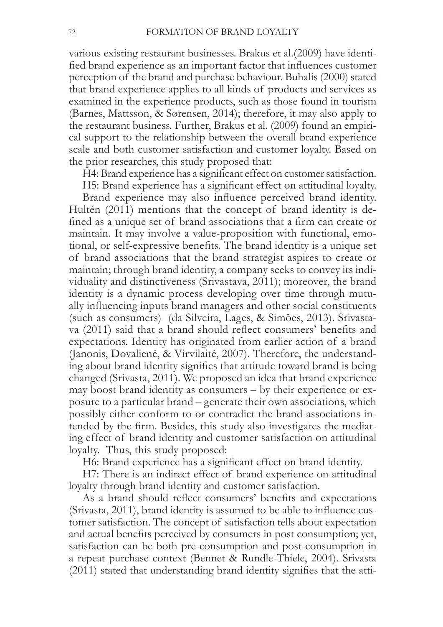various existing restaurant businesses. Brakus et al. (2009) have identified brand experience as an important factor that influences customer perception of the brand and purchase behaviour. Buhalis (2000) stated that brand experience applies to all kinds of products and services as examined in the experience products, such as those found in tourism (Barnes, Mattsson, & Sørensen, 2014); therefore, it may also apply to the restaurant business. Further, Brakus et al. (2009) found an empirical support to the relationship between the overall brand experience scale and both customer satisfaction and customer loyalty. Based on the prior researches, this study proposed that:

H4: Brand experience has a significant effect on customer satisfaction.

H5: Brand experience has a significant effect on attitudinal loyalty.

Brand experience may also influence perceived brand identity. Hultén (2011) mentions that the concept of brand identity is defined as a unique set of brand associations that a firm can create or maintain. It may involve a value-proposition with functional, emotional, or self-expressive benefits. The brand identity is a unique set of brand associations that the brand strategist aspires to create or maintain; through brand identity, a company seeks to convey its individuality and distinctiveness (Srivastava, 2011); moreover, the brand identity is a dynamic process developing over time through mutually influencing inputs brand managers and other social constituents (such as consumers) (da Silveira, Lages, & Simões, 2013). Srivastava (2011) said that a brand should reflect consumers' benefits and expectations. Identity has originated from earlier action of a brand (Janonis, Dovalienė, & Virvilaitė, 2007). Therefore, the understanding about brand identity signifies that attitude toward brand is being changed (Srivasta, 2011). We proposed an idea that brand experience may boost brand identity as consumers – by their experience or exposure to a particular brand – generate their own associations, which possibly either conform to or contradict the brand associations intended by the firm. Besides, this study also investigates the mediating effect of brand identity and customer satisfaction on attitudinal loyalty. Thus, this study proposed:

H6: Brand experience has a significant effect on brand identity.

H7: There is an indirect effect of brand experience on attitudinal loyalty through brand identity and customer satisfaction.

As a brand should reflect consumers' benefits and expectations (Srivasta, 2011), brand identity is assumed to be able to influence customer satisfaction. The concept of satisfaction tells about expectation and actual benefits perceived by consumers in post consumption; yet, satisfaction can be both pre-consumption and post-consumption in a repeat purchase context (Bennet & Rundle-Thiele, 2004). Srivasta (2011) stated that understanding brand identity signifies that the atti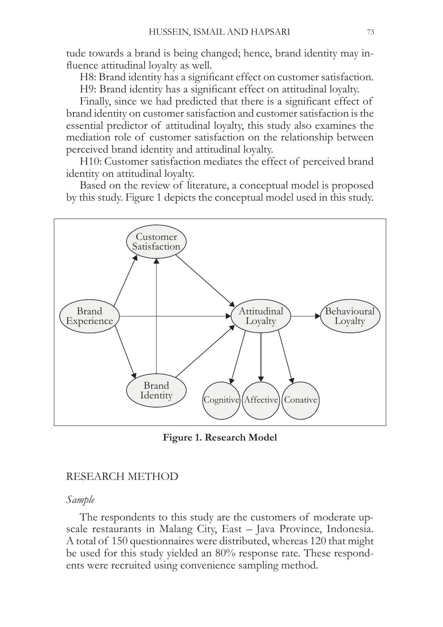tude towards a brand is being changed; hence, brand identity may influence attitudinal loyalty as well.

H8: Brand identity has a significant effect on customer satisfaction. H9: Brand identity has a significant effect on attitudinal loyalty.

Finally, since we had predicted that there is a significant effect of brand identity on customer satisfaction and customer satisfaction is the essential predictor of attitudinal loyalty, this study also examines the mediation role of customer satisfaction on the relationship between perceived brand identity and attitudinal loyalty.

H10: Customer satisfaction mediates the effect of perceived brand identity on attitudinal loyalty.

Based on the review of literature, a conceptual model is proposed by this study. Figure 1 depicts the conceptual model used in this study.



**Figure 1. Research Model**

# RESEARCH METHOD

### *Sample*

The respondents to this study are the customers of moderate upscale restaurants in Malang City, East - Java Province, Indonesia. A total of 150 questionnaires were distributed, whereas 120 that might be used for this study yielded an  $80\%$  response rate. These respondents were recruited using convenience sampling method.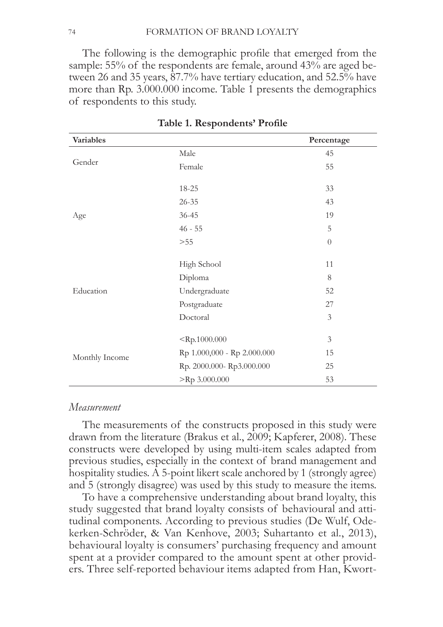The following is the demographic profile that emerged from the sample: 55% of the respondents are female, around  $43\%$  are aged between 26 and 35 years,  $87.7\%$  have tertiary education, and  $52.5\%$  have more than Rp. 3.000.000 income. Table 1 presents the demographics of respondents to this study.

| <b>Variables</b> |                             | Percentage     |
|------------------|-----------------------------|----------------|
|                  | Male                        | 45             |
| Gender           | Female                      | 55             |
|                  | 18-25                       | 33             |
|                  | $26 - 35$                   | 43             |
| Age              | $36 - 45$                   | 19             |
|                  | $46 - 55$                   | 5              |
|                  | $>55$                       | $\overline{0}$ |
|                  | High School                 | 11             |
|                  | Diploma                     | 8              |
| Education        | Undergraduate               | 52             |
|                  | Postgraduate                | 27             |
|                  | Doctoral                    | $\mathfrak{Z}$ |
|                  | $<$ Rp.1000.000             | $\mathfrak{Z}$ |
| Monthly Income   | Rp 1.000,000 - Rp 2.000.000 | 15             |
|                  | Rp. 2000.000-Rp3.000.000    | 25             |
|                  | $>$ Rp 3.000.000            | 53             |

Table 1. Respondents' Profile

#### *Measurement*

The measurements of the constructs proposed in this study were drawn from the literature (Brakus et al., 2009; Kapferer, 2008). These constructs were developed by using multi-item scales adapted from previous studies, especially in the context of brand management and hospitality studies. A 5-point likert scale anchored by 1 (strongly agree) and 5 (strongly disagree) was used by this study to measure the items.

To have a comprehensive understanding about brand loyalty, this study suggested that brand loyalty consists of behavioural and attitudinal components. According to previous studies (De Wulf, Odekerken-Schröder, & Van Kenhove, 2003; Suhartanto et al., 2013), behavioural loyalty is consumers' purchasing frequency and amount spent at a provider compared to the amount spent at other providers. Three self-reported behaviour items adapted from Han, Kwort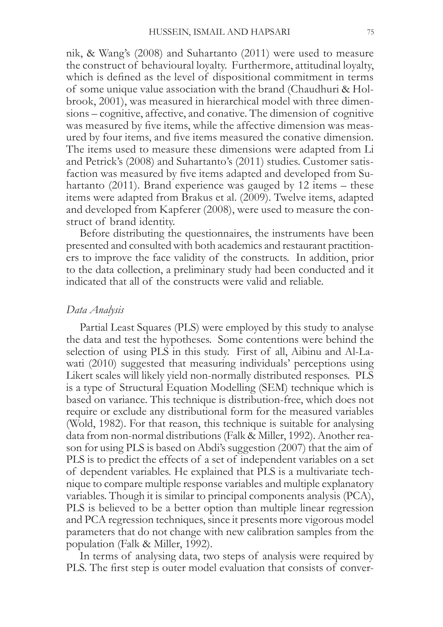nik, & Wang's (2008) and Suhartanto (2011) were used to measure the construct of behavioural loyalty. Furthermore, attitudinal loyalty, which is defined as the level of dispositional commitment in terms of some unique value association with the brand (Chaudhuri & Holbrook, 2001), was measured in hierarchical model with three dimensions – cognitive, affective, and conative. The dimension of cognitive was measured by five items, while the affective dimension was measured by four items, and five items measured the conative dimension. The items used to measure these dimensions were adapted from Li and Petrick's (2008) and Suhartanto's (2011) studies. Customer satisfaction was measured by five items adapted and developed from Suhartanto (2011). Brand experience was gauged by 12 items  $-$  these items were adapted from Brakus et al. (2009). Twelve items, adapted and developed from Kapferer (2008), were used to measure the construct of brand identity.

Before distributing the questionnaires, the instruments have been presented and consulted with both academics and restaurant practitioners to improve the face validity of the constructs. In addition, prior to the data collection, a preliminary study had been conducted and it indicated that all of the constructs were valid and reliable.

#### Data Analysis

Partial Least Squares (PLS) were employed by this study to analyse the data and test the hypotheses. Some contentions were behind the selection of using PLS in this study. First of all, Aibinu and Al-Lawati (2010) suggested that measuring individuals' perceptions using Likert scales will likely yield non-normally distributed responses. PLS is a type of Structural Equation Modelling (SEM) technique which is based on variance. This technique is distribution-free, which does not require or exclude any distributional form for the measured variables (Wold, 1982). For that reason, this technique is suitable for analysing data from non-normal distributions (Falk & Miller, 1992). Another reason for using PLS is based on Abdi's suggestion (2007) that the aim of PLS is to predict the effects of a set of independent variables on a set of dependent variables. He explained that PLS is a multivariate technique to compare multiple response variables and multiple explanatory variables. Though it is similar to principal components analysis (PCA), PLS is believed to be a better option than multiple linear regression and PCA regression techniques, since it presents more vigorous model parameters that do not change with new calibration samples from the population (Falk & Miller, 1992).

In terms of analysing data, two steps of analysis were required by PLS. The first step is outer model evaluation that consists of conver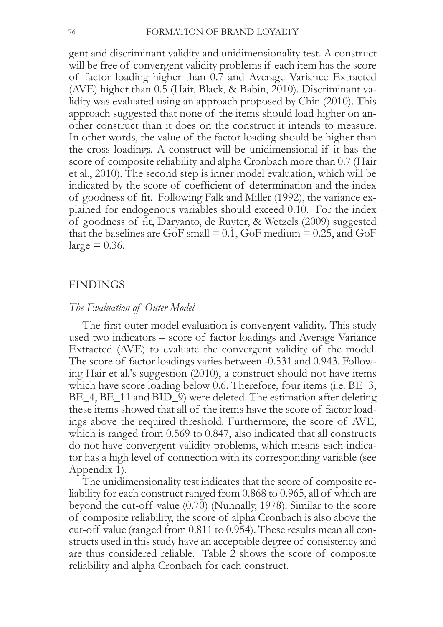gent and discriminant validity and unidimensionality test. A construct will be free of convergent validity problems if each item has the score of factor loading higher than 0.7 and Average Variance Extracted (AVE) higher than  $0.5$  (Hair, Black, & Babin, 2010). Discriminant validity was evaluated using an approach proposed by Chin  $(2010)$ . This approach suggested that none of the items should load higher on another construct than it does on the construct it intends to measure. In other words, the value of the factor loading should be higher than the cross loadings. A construct will be unidimensional if it has the score of composite reliability and alpha Cronbach more than 0.7 (Hair et al., 2010). The second step is inner model evaluation, which will be indicated by the score of coefficient of determination and the index of goodness of fit. Following Falk and Miller (1992), the variance explained for endogenous variables should exceed 0.10. For the index of goodness of fit, Daryanto, de Ruyter, & Wetzels (2009) suggested that the baselines are GoF small =  $0.1$ , GoF medium =  $0.25$ , and GoF  $large = 0.36$ .

#### FINDINGS

#### *The Evaluation of Outer Model*

The first outer model evaluation is convergent validity. This study used two indicators – score of factor loadings and Average Variance Extracted (AVE) to evaluate the convergent validity of the model. The score of factor loadings varies between -0.531 and 0.943. Following Hair et al.'s suggestion (2010), a construct should not have items which have score loading below 0.6. Therefore, four items (i.e.  $BE_3$ ,  $BE$  4,  $BE$  11 and  $BID$  9) were deleted. The estimation after deleting these items showed that all of the items have the score of factor loadings above the required threshold. Furthermore, the score of AVE, which is ranged from  $0.569$  to  $0.847$ , also indicated that all constructs do not have convergent validity problems, which means each indicator has a high level of connection with its corresponding variable (see Appendix 1).

The unidimensionality test indicates that the score of composite reliability for each construct ranged from  $0.868$  to  $0.965$ , all of which are beyond the cut-off value  $(0.70)$  (Nunnally, 1978). Similar to the score of composite reliability, the score of alpha Cronbach is also above the cut-off value (ranged from  $0.811$  to  $0.954$ ). These results mean all constructs used in this study have an acceptable degree of consistency and are thus considered reliable. Table 2 shows the score of composite reliability and alpha Cronbach for each construct.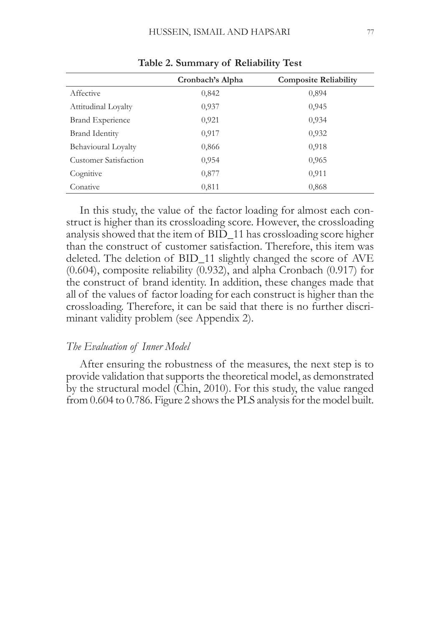|                              | Cronbach's Alpha | <b>Composite Reliability</b> |
|------------------------------|------------------|------------------------------|
| Affective                    | 0,842            | 0,894                        |
| Attitudinal Loyalty          | 0,937            | 0,945                        |
| <b>Brand Experience</b>      | 0,921            | 0,934                        |
| <b>Brand Identity</b>        | 0,917            | 0,932                        |
| Behavioural Loyalty          | 0,866            | 0,918                        |
| <b>Customer Satisfaction</b> | 0,954            | 0,965                        |
| Cognitive                    | 0,877            | 0,911                        |
| Conative                     | 0,811            | 0,868                        |

**Table 2. Summary of Reliability Test**

In this study, the value of the factor loading for almost each construct is higher than its crossloading score. However, the crossloading analysis showed that the item of BID\_11 has crossloading score higher than the construct of customer satisfaction. Therefore, this item was deleted. The deletion of BID\_11 slightly changed the score of AVE  $(0.604)$ , composite reliability  $(0.932)$ , and alpha Cronbach  $(0.917)$  for the construct of brand identity. In addition, these changes made that all of the values of factor loading for each construct is higher than the crossloading. Therefore, it can be said that there is no further discriminant validity problem (see Appendix 2).

### *The Evaluation of Inner Model*

After ensuring the robustness of the measures, the next step is to provide validation that supports the theoretical model, as demonstrated by the structural model (Chin, 2010). For this study, the value ranged from  $0.604$  to  $0.786$ . Figure 2 shows the PLS analysis for the model built.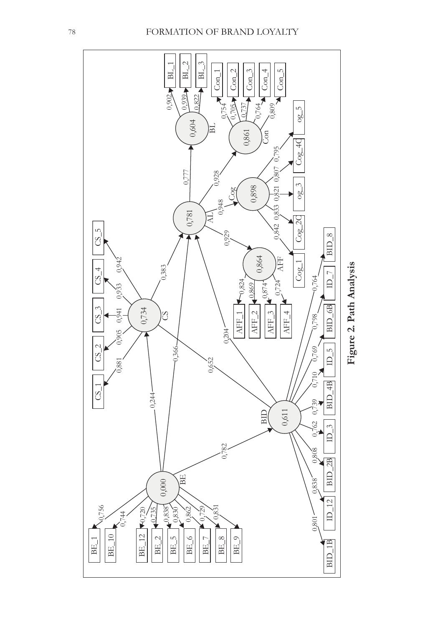

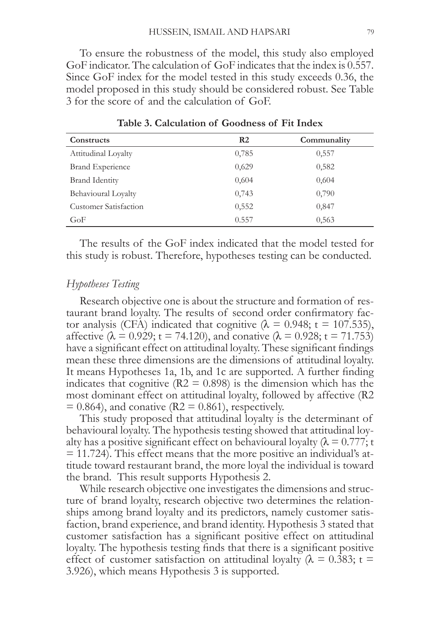To ensure the robustness of the model, this study also employed GoF indicator. The calculation of GoF indicates that the index is 0.557. Since GoF index for the model tested in this study exceeds  $0.36$ , the model proposed in this study should be considered robust. See Table 3 for the score of and the calculation of GoF.

| Constructs                   | R <sub>2</sub> | Communality |
|------------------------------|----------------|-------------|
| Attitudinal Loyalty          | 0,785          | 0,557       |
| <b>Brand Experience</b>      | 0,629          | 0,582       |
| <b>Brand Identity</b>        | 0,604          | 0,604       |
| Behavioural Loyalty          | 0,743          | 0,790       |
| <b>Customer Satisfaction</b> | 0,552          | 0,847       |
| GoF                          | 0.557          | 0,563       |

**Table 3. Calculation of Goodness of Fit Index**

The results of the GoF index indicated that the model tested for this study is robust. Therefore, hypotheses testing can be conducted.

### $Hyptbeses$  Testing

Research objective one is about the structure and formation of restaurant brand loyalty. The results of second order confirmatory factor analysis (CFA) indicated that cognitive ( $\lambda = 0.948$ ; t = 107.535), affective ( $\lambda = 0.929$ ; t = 74.120), and conative ( $\lambda = 0.928$ ; t = 71.753) have a significant effect on attitudinal loyalty. These significant findings mean these three dimensions are the dimensions of attitudinal loyalty. It means Hypotheses 1a, 1b, and 1c are supported. A further finding indicates that cognitive ( $R2 = 0.898$ ) is the dimension which has the most dominant effect on attitudinal loyalty, followed by affective (R2  $= 0.864$ ), and conative (R2 = 0.861), respectively.

This study proposed that attitudinal loyalty is the determinant of behavioural loyalty. The hypothesis testing showed that attitudinal loyalty has a positive significant effect on behavioural loyalty ( $\lambda = 0.777$ ; t  $=$  11.724). This effect means that the more positive an individual's attitude toward restaurant brand, the more loyal the individual is toward the brand. This result supports Hypothesis 2.

While research objective one investigates the dimensions and structure of brand loyalty, research objective two determines the relationships among brand loyalty and its predictors, namely customer satisfaction, brand experience, and brand identity. Hypothesis 3 stated that customer satisfaction has a significant positive effect on attitudinal loyalty. The hypothesis testing finds that there is a significant positive effect of customer satisfaction on attitudinal loyalty ( $\lambda = 0.383$ ; t =  $3.926$ ), which means Hypothesis  $3$  is supported.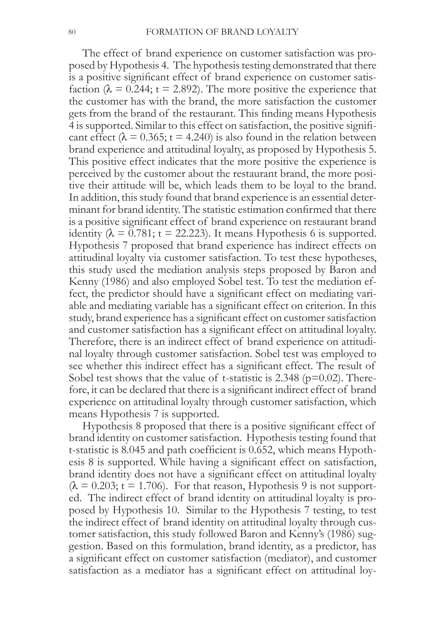The effect of brand experience on customer satisfaction was proposed by Hypothesis 4. The hypothesis testing demonstrated that there is a positive significant effect of brand experience on customer satisfaction ( $\lambda$  = 0.244; t = 2.892). The more positive the experience that the customer has with the brand, the more satisfaction the customer gets from the brand of the restaurant. This finding means Hypothesis 4 is supported. Similar to this effect on satisfaction, the positive significant effect ( $\lambda$  = 0.365; t = 4.240) is also found in the relation between brand experience and attitudinal loyalty, as proposed by Hypothesis 5. This positive effect indicates that the more positive the experience is perceived by the customer about the restaurant brand, the more positive their attitude will be, which leads them to be loyal to the brand. In addition, this study found that brand experience is an essential determinant for brand identity. The statistic estimation confirmed that there is a positive significant effect of brand experience on restaurant brand identity ( $\lambda = 0.781$ ; t = 22.223). It means Hypothesis 6 is supported. Hypothesis 7 proposed that brand experience has indirect effects on attitudinal loyalty via customer satisfaction. To test these hypotheses, this study used the mediation analysis steps proposed by Baron and Kenny (1986) and also employed Sobel test. To test the mediation effect, the predictor should have a significant effect on mediating variable and mediating variable has a significant effect on criterion. In this study, brand experience has a significant effect on customer satisfaction and customer satisfaction has a significant effect on attitudinal loyalty. Therefore, there is an indirect effect of brand experience on attitudinal loyalty through customer satisfaction. Sobel test was employed to see whether this indirect effect has a significant effect. The result of Sobel test shows that the value of t-statistic is  $2.348$  ( $p=0.02$ ). Therefore, it can be declared that there is a significant indirect effect of brand experience on attitudinal loyalty through customer satisfaction, which means Hypothesis 7 is supported.

Hypothesis 8 proposed that there is a positive significant effect of brand identity on customer satisfaction. Hypothesis testing found that t-statistic is 8.045 and path coefficient is 0.652, which means Hypothesis 8 is supported. While having a significant effect on satisfaction, brand identity does not have a significant effect on attitudinal loyalty  $(\lambda = 0.203$ ; t = 1.706). For that reason, Hypothesis 9 is not supported. The indirect effect of brand identity on attitudinal loyalty is proposed by Hypothesis 10. Similar to the Hypothesis 7 testing, to test the indirect effect of brand identity on attitudinal loyalty through customer satisfaction, this study followed Baron and Kenny's (1986) suggestion. Based on this formulation, brand identity, as a predictor, has a significant effect on customer satisfaction (mediator), and customer satisfaction as a mediator has a significant effect on attitudinal loy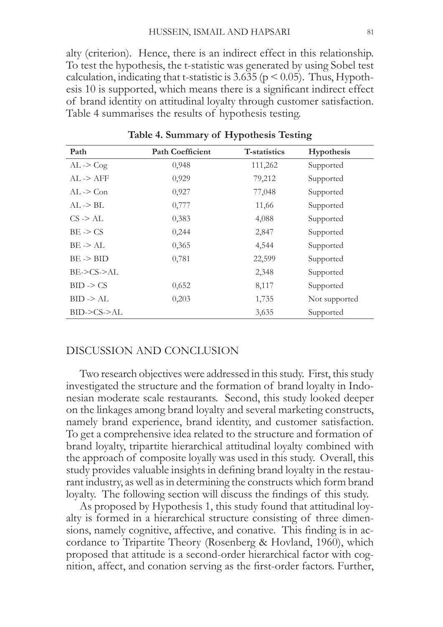alty (criterion). Hence, there is an indirect effect in this relationship. To test the hypothesis, the t-statistic was generated by using Sobel test calculation, indicating that t-statistic is 3.635 ( $p \le 0.05$ ). Thus, Hypothesis 10 is supported, which means there is a significant indirect effect of brand identity on attitudinal loyalty through customer satisfaction. Table 4 summarises the results of hypothesis testing.

| Path                  | <b>Path Coefficient</b> | <b>T-statistics</b> | Hypothesis    |
|-----------------------|-------------------------|---------------------|---------------|
| $AL \rightarrow Cog$  | 0,948                   | 111,262             | Supported     |
| $AI. \rightarrow AFF$ | 0,929                   | 79,212              | Supported     |
| $AL \rightarrow Con$  | 0,927                   | 77,048              | Supported     |
| $AL \rightarrow BL$   | 0,777                   | 11,66               | Supported     |
| $CS \rightarrow AL$   | 0,383                   | 4,088               | Supported     |
| $BE \rightarrow CS$   | 0,244                   | 2,847               | Supported     |
| $BE \rightarrow AL$   | 0,365                   | 4,544               | Supported     |
| $BE \rightarrow BID$  | 0,781                   | 22,599              | Supported     |
| BE->CS->AL            |                         | 2,348               | Supported     |
| $BID \geq CS$         | 0,652                   | 8,117               | Supported     |
| $BID \rightarrow AL$  | 0,203                   | 1,735               | Not supported |
| BID->CS->AL           |                         | 3,635               | Supported     |

**Table 4. Summary of Hypothesis Testing**

### DISCUSSION AND CONCLUSION

Two research objectives were addressed in this study. First, this study investigated the structure and the formation of brand loyalty in Indonesian moderate scale restaurants. Second, this study looked deeper on the linkages among brand loyalty and several marketing constructs, namely brand experience, brand identity, and customer satisfaction. To get a comprehensive idea related to the structure and formation of brand loyalty, tripartite hierarchical attitudinal loyalty combined with the approach of composite loyally was used in this study. Overall, this study provides valuable insights in defining brand loyalty in the restaurant industry, as well as in determining the constructs which form brand loyalty. The following section will discuss the findings of this study.

As proposed by Hypothesis 1, this study found that attitudinal loyalty is formed in a hierarchical structure consisting of three dimensions, namely cognitive, affective, and conative. This finding is in accordance to Tripartite Theory (Rosenberg & Hovland, 1960), which proposed that attitude is a second-order hierarchical factor with cognition, affect, and conation serving as the first-order factors. Further,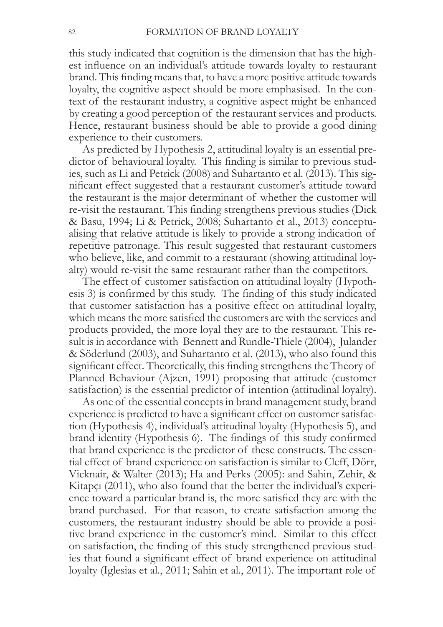this study indicated that cognition is the dimension that has the highest influence on an individual's attitude towards loyalty to restaurant brand. This finding means that, to have a more positive attitude towards loyalty, the cognitive aspect should be more emphasised. In the context of the restaurant industry, a cognitive aspect might be enhanced by creating a good perception of the restaurant services and products. Hence, restaurant business should be able to provide a good dining experience to their customers.

As predicted by Hypothesis 2, attitudinal loyalty is an essential predictor of behavioural loyalty. This finding is similar to previous studies, such as Li and Petrick  $(2008)$  and Suhartanto et al.  $(2013)$ . This significant effect suggested that a restaurant customer's attitude toward the restaurant is the major determinant of whether the customer will re-visit the restaurant. This finding strengthens previous studies (Dick) & Basu, 1994; Li & Petrick, 2008; Suhartanto et al., 2013) conceptualising that relative attitude is likely to provide a strong indication of repetitive patronage. This result suggested that restaurant customers who believe, like, and commit to a restaurant (showing attitudinal loyalty) would re-visit the same restaurant rather than the competitors.

The effect of customer satisfaction on attitudinal loyalty (Hypothesis  $3$ ) is confirmed by this study. The finding of this study indicated that customer satisfaction has a positive effect on attitudinal loyalty, which means the more satisfied the customers are with the services and products provided, the more loyal they are to the restaurant. This result is in accordance with Bennett and Rundle-Thiele (2004), Julander & Söderlund (2003), and Suhartanto et al. (2013), who also found this significant effect. Theoretically, this finding strengthens the Theory of Planned Behaviour (Ajzen, 1991) proposing that attitude (customer satisfaction) is the essential predictor of intention (attitudinal loyalty).

As one of the essential concepts in brand management study, brand experience is predicted to have a significant effect on customer satisfaction (Hypothesis 4), individual's attitudinal loyalty (Hypothesis 5), and brand identity (Hypothesis 6). The findings of this study confirmed that brand experience is the predictor of these constructs. The essential effect of brand experience on satisfaction is similar to Cleff, Dörr, Vicknair, & Walter (2013); Ha and Perks (2005): and Sahin, Zehir, & Kitapci (2011), who also found that the better the individual's experience toward a particular brand is, the more satisfied they are with the brand purchased. For that reason, to create satisfaction among the customers, the restaurant industry should be able to provide a positive brand experience in the customer's mind. Similar to this effect on satisfaction, the finding of this study strengthened previous studies that found a significant effect of brand experience on attitudinal loyalty (Iglesias et al., 2011; Sahin et al., 2011). The important role of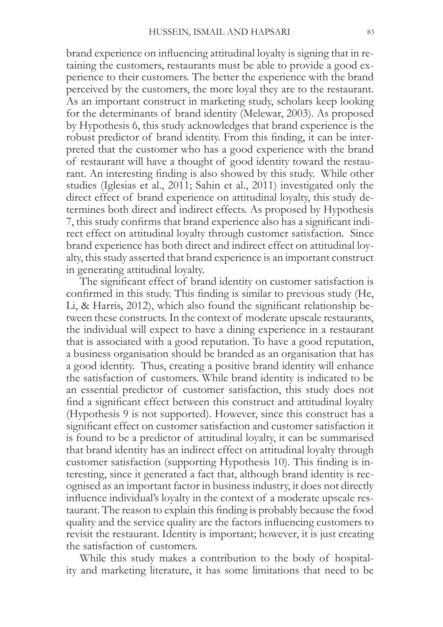brand experience on influencing attitudinal loyalty is signing that in retaining the customers, restaurants must be able to provide a good experience to their customers. The better the experience with the brand perceived by the customers, the more loyal they are to the restaurant. As an important construct in marketing study, scholars keep looking for the determinants of brand identity (Melewar, 2003). As proposed by Hypothesis 6, this study acknowledges that brand experience is the robust predictor of brand identity. From this finding, it can be interpreted that the customer who has a good experience with the brand of restaurant will have a thought of good identity toward the restaurant. An interesting finding is also showed by this study. While other studies (Iglesias et al., 2011; Sahin et al., 2011) investigated only the direct effect of brand experience on attitudinal loyalty, this study determines both direct and indirect effects. As proposed by Hypothesis 7, this study confirms that brand experience also has a significant indirect effect on attitudinal loyalty through customer satisfaction. Since brand experience has both direct and indirect effect on attitudinal loyalty, this study asserted that brand experience is an important construct in generating attitudinal loyalty.

The significant effect of brand identity on customer satisfaction is confirmed in this study. This finding is similar to previous study (He, Li, & Harris, 2012), which also found the significant relationship between these constructs. In the context of moderate upscale restaurants, the individual will expect to have a dining experience in a restaurant that is associated with a good reputation. To have a good reputation, a business organisation should be branded as an organisation that has a good identity. Thus, creating a positive brand identity will enhance the satisfaction of customers. While brand identity is indicated to be an essential predictor of customer satisfaction, this study does not find a significant effect between this construct and attitudinal loyalty (Hypothesis  $9$  is not supported). However, since this construct has a significant effect on customer satisfaction and customer satisfaction it is found to be a predictor of attitudinal loyalty, it can be summarised that brand identity has an indirect effect on attitudinal loyalty through customer satisfaction (supporting Hypothesis 10). This finding is interesting, since it generated a fact that, although brand identity is recognised as an important factor in business industry, it does not directly influence individual's loyalty in the context of a moderate upscale restaurant. The reason to explain this finding is probably because the food quality and the service quality are the factors influencing customers to revisit the restaurant. Identity is important; however, it is just creating the satisfaction of customers.

While this study makes a contribution to the body of hospitality and marketing literature, it has some limitations that need to be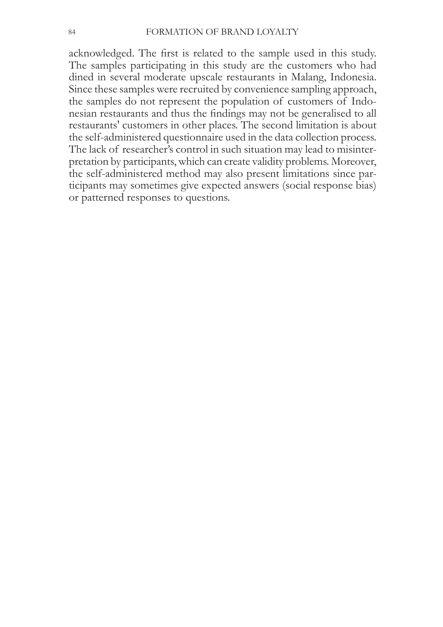acknowledged. The first is related to the sample used in this study. The samples participating in this study are the customers who had dined in several moderate upscale restaurants in Malang, Indonesia. Since these samples were recruited by convenience sampling approach, the samples do not represent the population of customers of Indonesian restaurants and thus the findings may not be generalised to all restaurants' customers in other places. The second limitation is about the self-administered questionnaire used in the data collection process. The lack of researcher's control in such situation may lead to misinterpretation by participants, which can create validity problems. Moreover, the self-administered method may also present limitations since participants may sometimes give expected answers (social response bias) or patterned responses to questions.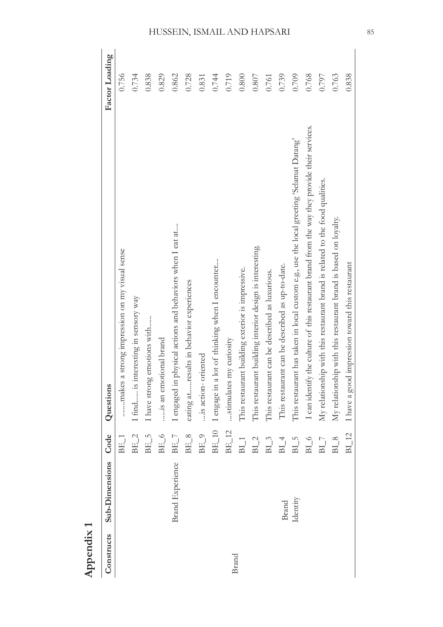| Appendix 1 |                         |                            |                                                                                               |                |
|------------|-------------------------|----------------------------|-----------------------------------------------------------------------------------------------|----------------|
| Constructs | <b>Sub-Dimensions</b>   | Code                       | Questions                                                                                     | Factor Loading |
|            |                         | $BE\_1$                    | a strong impression on my visual sense<br>makes                                               | 0.756          |
|            |                         | $BE_2$                     | I find is interesting in sensory way                                                          | 0.734          |
|            |                         | $BE_5$                     | I have strong emotions with                                                                   | 0.838          |
|            |                         | $BE_6$                     | is an emotional brand                                                                         | 0.829          |
|            | <b>Brand Experience</b> | $BE_7$                     | I engaged in physical actions and behaviors when I eat at                                     | 0.862          |
|            |                         | $BE_8$                     | eating atresults in behavior experiences                                                      | 0.728          |
|            |                         | $BE_9$                     | is action-oriented                                                                            | 0.831          |
|            |                         | $BE_10$                    | I engage in a lot of thinking when I encounter                                                | 0.744          |
|            |                         | $BE_12$                    | stimulates my curiosity                                                                       | 0.719          |
| Brand      |                         | $BI_1$                     | This restaurant building exterior is impressive.                                              | 0.800          |
|            |                         | $BI_2$                     | This restaurant building interior design is interesting.                                      | 0.807          |
|            |                         | $BI_3$                     | This restaurant can be described as luxurious.                                                | 0.761          |
|            | <b>Brand</b>            | $BI_4$                     | This restaurant can be described as up-to-date.                                               | 0.739          |
|            | Identity                | $BI_5$                     | This restaurant has taken in local custom e.g., use the local greeting 'Selamat Datang'       | 0.709          |
|            |                         | $BI_6$                     | I can identify the culture of this restaurant brand from the way they provide their services. | 0.768          |
|            |                         | $\mathrm{BI}$ $\mathrm{7}$ | My relationship with this restaurant brand is related to the food qualities.                  | 0.797          |
|            |                         | $BI_8$                     | My relationship with this restaurant brand is based on loyalty.                               | 0.763          |
|            |                         | BI 12                      | I have a good impression toward this restaurant                                               | 0.838          |
|            |                         |                            |                                                                                               |                |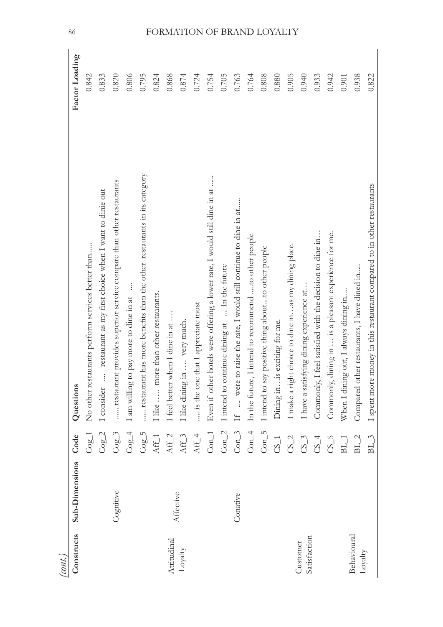| (cont.)                        |                       |                  |                                                                           |                |
|--------------------------------|-----------------------|------------------|---------------------------------------------------------------------------|----------------|
| Constructs                     | <b>Sub-Dimensions</b> | Code             | Questions                                                                 | Factor Loading |
|                                |                       | $Cog-1$          | No other restaurants perform services better than                         | 0.842          |
|                                |                       | CogC             | restaurant as my first choice when I want to dinie out<br>I consider      | 0.833          |
|                                | Cognitive             | $Cog-3$          | restaurant provides superior service compare than other restaurants       | 0.820          |
|                                |                       | $Cog-4$          | I am willing to pay more to dine in at                                    | 0.806          |
|                                |                       | $Cog-5$          | restaurant has more benefits than the other restaurants in its category   | 0.795          |
|                                |                       | $Aff_1$          | I like  more than other restaurants.                                      | 0.824          |
| Attitudinal                    |                       | $Aff_2$          | [feel better when I dine in at                                            | 0.868          |
| ${\rm Loyalty}$                | Affective             | $Aff_3$          | I like dining in  very much.                                              | 0.874          |
|                                |                       | $Aff_4$          | is the one that I appreciate most                                         | 0.724          |
|                                |                       | $Con_1$          | Even if other hotels were offering a lower rate, I would still dine in at | 0.754          |
|                                |                       | $Con_2$          | I intend to continue dining at  In the future                             | 0.705          |
|                                | Conative              | $Con_3$          | If  were to raise the rate, I would still continue to dine in at          | 0.763          |
|                                |                       | $Con_4$          | In the future, I intend to recommend to other people                      | 0.764          |
|                                |                       | $Con_5$          | I intend to say positive thing aboutto other people                       | 0.808          |
|                                |                       | $CS_1$           | Dining in is exciting for me.                                             | 0.880          |
|                                |                       | $CS_2$           | I make a right choice to dine in  as my dining place.                     | 0.905          |
| Satisfaction<br>Customer       |                       | $CS_3$           | I have a satisfying dining experience at                                  | 0.940          |
|                                |                       | $CS_4$           | Commonly, I feel satisfied with the decision to dine in                   | 0.933          |
|                                |                       | $CS_5$           | dining in  is a pleasant experience for me.<br>Commonly,                  | 0.942          |
|                                |                       | $\mathrm{BL\_1}$ | When I dining out, I always dining in                                     | 0.901          |
| Behavioural<br>${\rm Loyalty}$ |                       | $BL_2$           | Compared other restaurants, I have dined in                               | 0.938          |
|                                |                       | $BL_3$           | I spent more money in this restaurant compared to in other restaurants    | 0.822          |

86

## FORMATION OF BRAND LOYALTY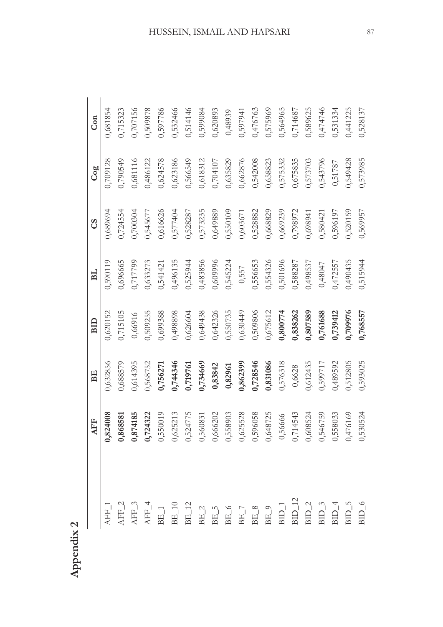|                                                                                                                                                                                                                                                                                                                                                                                                  | AFF                                                                                                                                                         | BE       | BID      | B <sub>L</sub> | <b>SO</b> | Cog      | Con      |
|--------------------------------------------------------------------------------------------------------------------------------------------------------------------------------------------------------------------------------------------------------------------------------------------------------------------------------------------------------------------------------------------------|-------------------------------------------------------------------------------------------------------------------------------------------------------------|----------|----------|----------------|-----------|----------|----------|
| $\Delta F_{-1}$                                                                                                                                                                                                                                                                                                                                                                                  | 0,824008                                                                                                                                                    | 1,632856 | 0,620152 | 0,590119       | ),689694  | 0,709128 | 0,681854 |
|                                                                                                                                                                                                                                                                                                                                                                                                  | 0,868581                                                                                                                                                    | 0,688579 | 0,715105 | 0,696665       | 0,724554  | 0,790549 | 0,715323 |
|                                                                                                                                                                                                                                                                                                                                                                                                  |                                                                                                                                                             | 0,614395 | 0,66916  | 0,717799       | 0,700304  | 0,681116 | 0,707156 |
|                                                                                                                                                                                                                                                                                                                                                                                                  |                                                                                                                                                             | 0,568752 | 0,509255 | 0,633273       | 0,545677  | 0,486122 | 0,509878 |
|                                                                                                                                                                                                                                                                                                                                                                                                  |                                                                                                                                                             | 0,756271 | 0,699388 | 0,541421       | 0,616626  | 0,624578 | 0,597786 |
| $\begin{array}{l} \tt{AFF\_3} \\ \tt{AFF\_4} \\ \tt{AE\_1} \\ \tt{BE\_1} \\ \tt{BE\_2} \\ \tt{BE\_3} \\ \tt{BE\_4} \\ \tt{BE\_4} \\ \tt{BE\_5} \\ \tt{BE\_7} \\ \tt{BE\_8} \\ \tt{BE\_9} \\ \tt{H} \\ \tt{BE\_1} \\ \tt{B} \\ \tt{B} \\ \tt{B} \\ \tt{B} \\ \tt{B} \\ \tt{B} \\ \tt{B} \\ \tt{B} \\ \tt{B} \\ \tt{B} \\ \tt{B} \\ \tt{B} \\ \tt{B} \\ \tt{B} \\ \tt{B} \\ \tt{B} \\ \tt{B} \\ \$ | 0,874185<br>0,724322<br>0,550019<br>0,524775<br>0,560831<br>0,566202<br>0,556658<br>0,55665524<br>0,5566524<br>0,558033<br>0,558033<br>0,558033<br>0,558033 | 0,744346 | 0,498898 | 0,496135       | 0,577404  | 0,623186 | 0,532466 |
|                                                                                                                                                                                                                                                                                                                                                                                                  |                                                                                                                                                             | 0,719761 | 0,626604 | 0,525944       | 0,528287  | 0,566549 | 0,514146 |
|                                                                                                                                                                                                                                                                                                                                                                                                  |                                                                                                                                                             | 0,734669 | 0,649438 | 0,483856       | 0,573235  | 0,618312 | 0,599084 |
|                                                                                                                                                                                                                                                                                                                                                                                                  |                                                                                                                                                             | 0,83842  | 0,642326 | 0,609996       | 0,649889  | 0,704107 | 0,620893 |
|                                                                                                                                                                                                                                                                                                                                                                                                  |                                                                                                                                                             | 0,82961  | 0,550735 | 0,545224       | 0,550109  | 0,635829 | 0,48939  |
|                                                                                                                                                                                                                                                                                                                                                                                                  |                                                                                                                                                             | 0,862399 | 0,630449 | 0,557          | 0,603671  | 0,662876 | 0,597941 |
|                                                                                                                                                                                                                                                                                                                                                                                                  |                                                                                                                                                             | 0,728546 | 0,509806 | 0,556653       | 0,528882  | 0,542008 | 0,476763 |
|                                                                                                                                                                                                                                                                                                                                                                                                  |                                                                                                                                                             | 0,831086 | 0,675612 | 0,554326       | 0,668829  | 0,658823 | 0,575969 |
|                                                                                                                                                                                                                                                                                                                                                                                                  |                                                                                                                                                             | 0,576318 | 0,800774 | 0,501696       | 0,669239  | 0,575332 | 0,564965 |
|                                                                                                                                                                                                                                                                                                                                                                                                  |                                                                                                                                                             | 0,6628   | 0,838262 | 0,588287       | 0,798972  | 0,675835 | 0,714687 |
|                                                                                                                                                                                                                                                                                                                                                                                                  |                                                                                                                                                             | 0,612435 | 0,807589 | 0,498537       | 0,698941  | 0,573703 | 0,589625 |
|                                                                                                                                                                                                                                                                                                                                                                                                  |                                                                                                                                                             | 0,599717 | 0,761688 | 0,48047        | 0,580421  | 0,543796 | 0,474746 |
|                                                                                                                                                                                                                                                                                                                                                                                                  |                                                                                                                                                             | 0,489592 | 0,739412 | 0,472557       | 0,596197  | 0,51787  | 0,531334 |
|                                                                                                                                                                                                                                                                                                                                                                                                  |                                                                                                                                                             | 0,512805 | 0,709976 | 0,490435       | 0,520159  | 0,549428 | 0,441225 |
|                                                                                                                                                                                                                                                                                                                                                                                                  |                                                                                                                                                             | 0,593025 | 0,768557 | 0,515944       | 0,569957  | 0,573985 | 0,528137 |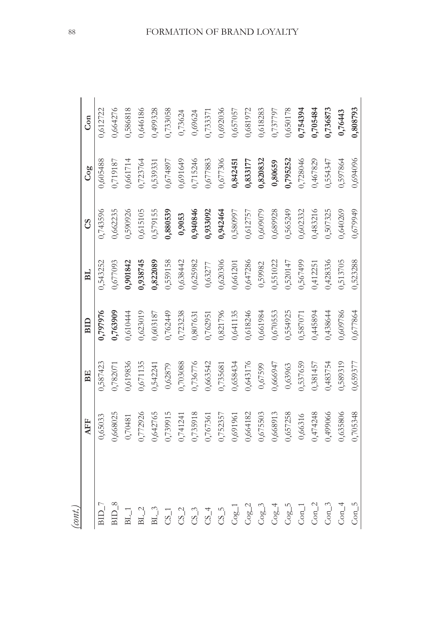| (cont.) |                                                                                                                                            |          |          |             |           |          |          |
|---------|--------------------------------------------------------------------------------------------------------------------------------------------|----------|----------|-------------|-----------|----------|----------|
|         | EF                                                                                                                                         | BE       | BID      | $_{\rm BL}$ | <b>SC</b> | Cog      | Con      |
|         | 0,65033                                                                                                                                    | 0,587423 | 0,797976 | 0,543252    | 0,743596  | 0,605488 | 0,612722 |
|         |                                                                                                                                            | 0,782071 | 0,763909 | 0,677093    | 0,662235  | 0,719187 | 0,664276 |
|         |                                                                                                                                            | 0,619836 | 0,610444 | 0,901842    | 0,590926  | 0,661714 | 0,586818 |
|         |                                                                                                                                            | 0,671135 | 0,623019 | 1,938745    | 0,615105  | 0,723764 | 0,646186 |
|         | 0,668025<br>0,772926<br>0,772926<br>0,642765<br>0,741241<br>0,755918<br>0,664182<br>0,66316<br>0,657258<br>0,657258<br>0,66316<br>0,474248 | 0,542241 | 0,603187 | 0,822089    | 0,579155  | 0,539331 | 0,499328 |
|         |                                                                                                                                            | 0,62879  | 0,762449 | 0,559158    | 0,880539  | 0,674897 | 0,733058 |
|         |                                                                                                                                            | 0,703088 | 0,723238 | 0,638442    | 0,9053    | 0,691649 | 0,73624  |
|         |                                                                                                                                            | 0,736776 | 0,807631 | 0,625982    | 0,940846  | 0,715246 | 0,69624  |
|         |                                                                                                                                            | 0,663542 | 0,762951 | 0,63277     | 0,933092  | 0,677883 | 0,733371 |
|         |                                                                                                                                            | 0,735681 | 0,821796 | 0,620306    | 0,942464  | 0,677306 | 0,692036 |
|         |                                                                                                                                            | 0,658434 | 0,641135 | 0,661201    | 0,580997  | 0,842451 | 0,657057 |
|         |                                                                                                                                            | 0,643176 | 0,618246 | 0,647286    | 0,612757  | 0,833177 | 0,681972 |
|         |                                                                                                                                            | 0,67599  | 0,661984 | 0,59982     | 0,609079  | 0,820832 | 0,618283 |
|         |                                                                                                                                            | 0,666947 | 0,670553 | 0,551022    | 0,689928  | 0,80659  | 0,737797 |
|         |                                                                                                                                            | 0,63963  | 0,554925 | 0,520147    | 0,565249  | 0,795252 | 0,650178 |
|         |                                                                                                                                            | 0,537659 | 0,587071 | 0,567499    | 0,602332  | 0,728046 | 0,754394 |
|         |                                                                                                                                            | 0,381457 | 0,445894 | 0,412251    | 0,483216  | 0,467829 | 0,705484 |
|         |                                                                                                                                            | 0,483754 | 0,438644 | 0,428336    | 0,507325  | 0,554347 | 0,736873 |
|         |                                                                                                                                            | 0,589319 | 0,609786 | 0,513705    | 0,640269  | 0,597864 | 0,76443  |
| $Con_5$ | 15348<br>0,70                                                                                                                              | 0,659377 | 0,677864 | 0,523288    | 0,679949  | 0,694096 | 0,808793 |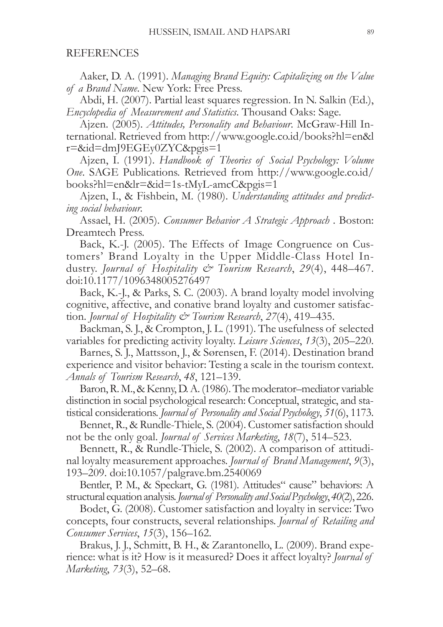#### REFERENCES

Aaker, D. A. (1991). *Managing Brand Equity: Capitalizing on the Value of a Brand Name.* New York: Free Press.

Abdi, H. (2007). Partial least squares regression. In N. Salkin (Ed.), *Encyclopedia of Measurement and Statistics*. Thousand Oaks: Sage.

Ajzen. (2005). *Attitudes, Personality and Behaviour*. McGraw-Hill International. Retrieved from http://www.google.co.id/books?hl=en&l  $r = \&\id = dm$ [9 $EGE$ <sub>V</sub> $0Z$ YC $\&$ pgis=1

Ajzen, I. (1991). Handbook of Theories of Social Psychology: Volume *One*. SAGE Publications. Retrieved from http://www.google.co.id/  $books?hl = en&lr = &id = 1s$ -tMyL-amcC&pgis=1

Ajzen, I., & Fishbein, M. (1980). Understanding attitudes and predict*ing social behaviour.* 

Assael, H. (2005). Consumer Behavior A Strategic Approach . Boston: Dreamtech Press.

Back, K.-J. (2005). The Effects of Image Congruence on Customers' Brand Loyalty in the Upper Middle-Class Hotel Industry. *Journal of Hospitality & Tourism Research*, 29(4), 448-467. doi:10.1177/1096348005276497

Back, K.-J., & Parks, S. C.  $(2003)$ . A brand loyalty model involving cognitive, affective, and conative brand loyalty and customer satisfaction. *Journal of Hospitality & Tourism Research*, 27(4), 419-435.

Backman, S. J., & Crompton, J. L. (1991). The usefulness of selected variables for predicting activity loyalty. Leisure Sciences, 13(3), 205–220.

Barnes, S. J., Mattsson, J., & Sørensen, F. (2014). Destination brand experience and visitor behavior: Testing a scale in the tourism context. *Annals of Tourism Research, 48, 121–139.* 

Baron, R. M., & Kenny, D. A. (1986). The moderator-mediator variable distinction in social psychological research: Conceptual, strategic, and statistical considerations. *Journal of Personality and Social Psychology*, 51(6), 1173.

Bennet, R., & Rundle-Thiele, S. (2004). Customer satisfaction should not be the only goal. *Journal of Services Marketing*, 18(7), 514–523.

Bennett, R., & Rundle-Thiele, S. (2002). A comparison of attitudinal loyalty measurement approaches. *Journal of Brand Management*, 9(3), 193–209. doi:10.1057/palgrave.bm.2540069

Bentler, P. M., & Speckart, G. (1981). Attitudes" cause" behaviors: A structural equation analysis. *Journal of Personality and Social Psychology*, 40(2), 226.

Bodet, G. (2008). Customer satisfaction and loyalty in service: Two concepts, four constructs, several relationships. *Journal of Retailing and Consumer Services*, 15(3), 156–162.

Brakus, J. J., Schmitt, B. H., & Zarantonello, L. (2009). Brand experience: what is it? How is it measured? Does it affect loyalty? *Journal of Marketing*, 73(3), 52–68.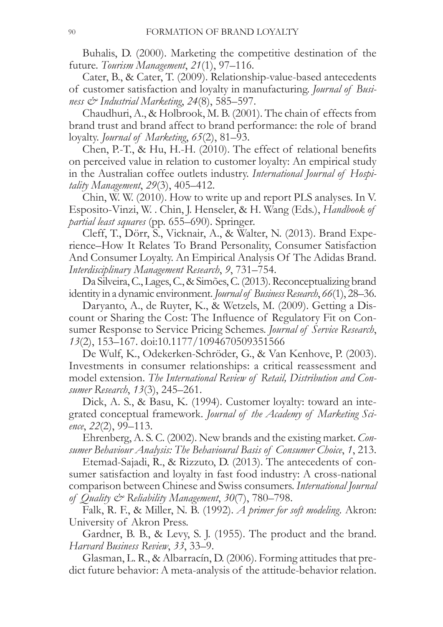Buhalis, D. (2000). Marketing the competitive destination of the future. Tourism Management, 21(1), 97-116.

Cater, B., & Cater, T. (2009). Relationship-value-based antecedents of customer satisfaction and loyalty in manufacturing. Journal of Business & Industrial Marketing, 24(8), 585–597.

Chaudhuri, A., & Holbrook, M. B. (2001). The chain of effects from brand trust and brand affect to brand performance: the role of brand loyalty. Journal of Marketing, 65(2), 81-93.

Chen, P.-T., & Hu, H.-H. (2010). The effect of relational benefits on perceived value in relation to customer loyalty: An empirical study in the Australian coffee outlets industry. International Journal of Hospitality Management, 29(3), 405-412.

Chin, W. W. (2010). How to write up and report PLS analyses. In V. Esposito-Vinzi, W. . Chin, J. Henseler, & H. Wang (Eds.), *Handbook of partial least squares* (pp. 655–690). Springer.

Cleff, T., Dörr, S., Vicknair, A., & Walter, N. (2013). Brand Experience–How It Relates To Brand Personality, Consumer Satisfaction And Consumer Loyalty. An Empirical Analysis Of The Adidas Brand. Interdisciplinary Management Research, 9, 731–754.

Da Silveira, C., Lages, C., & Simões, C. (2013). Reconceptualizing brand identity in a dynamic environment. Journal of Business Research, 66(1), 28–36.

Daryanto, A., de Ruyter, K., & Wetzels, M. (2009). Getting a Discount or Sharing the Cost: The Influence of Regulatory Fit on Consumer Response to Service Pricing Schemes. Journal of Service Research, 13(2), 153–167. doi:10.1177/1094670509351566

De Wulf, K., Odekerken-Schröder, G., & Van Kenhove, P. (2003). Investments in consumer relationships: a critical reassessment and model extension. The International Review of Retail, Distribution and Consumer Research, 13(3), 245–261.

Dick, A. S., & Basu, K. (1994). Customer loyalty: toward an integrated conceptual framework. Journal of the Academy of Marketing Science,  $22(2)$ , 99-113.

Ehrenberg, A. S. C. (2002). New brands and the existing market. Consumer Behaviour Analysis: The Behavioural Basis of Consumer Choice, 1, 213.

Etemad-Sajadi, R., & Rizzuto, D. (2013). The antecedents of consumer satisfaction and loyalty in fast food industry: A cross-national comparison between Chinese and Swiss consumers. International Journal of Quality  $\mathcal{Q}$  Reliability Management, 30(7), 780–798.

Falk, R. F., & Miller, N. B. (1992). A primer for soft modeling. Akron: University of Akron Press.

Gardner, B. B., & Levy, S. J. (1955). The product and the brand. Harvard Business Review, 33, 33-9.

Glasman, L. R., & Albarracín, D. (2006). Forming attitudes that predict future behavior: A meta-analysis of the attitude-behavior relation.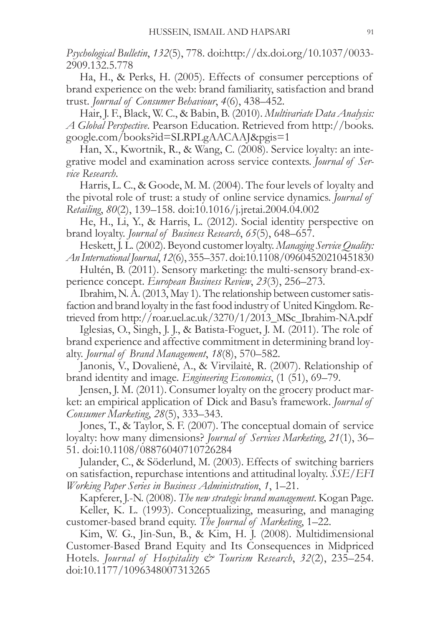Psychological Bulletin, 132(5), 778. doi:http://dx.doi.org/10.1037/0033-2909.132.5.778

Ha, H., & Perks, H. (2005). Effects of consumer perceptions of brand experience on the web: brand familiarity, satisfaction and brand trust. Journal of Consumer Behaviour, 4(6), 438–452.

Hair, J. F., Black, W. C., & Babin, B. (2010). Multivariate Data Analysis: A Global Perspective. Pearson Education. Retrieved from http://books. google.com/books?id=SLRPLgAACAAJ&pgis=1

Han, X., Kwortnik, R., & Wang, C. (2008). Service loyalty: an integrative model and examination across service contexts. Journal of Ser*vice* Research.

Harris, L. C., & Goode, M. M. (2004). The four levels of loyalty and the pivotal role of trust: a study of online service dynamics. Journal of Retailing, 80(2), 139-158. doi:10.1016/j.jretai.2004.04.002

He, H., Li, Y., & Harris, L. (2012). Social identity perspective on brand loyalty. *Journal of Business Research*, 65(5), 648–657.

Heskett, J. L. (2002). Beyond customer loyalty. Managing Service Quality: An International Journal, 12(6), 355–357. doi:10.1108/09604520210451830

Hultén, B. (2011). Sensory marketing: the multi-sensory brand-experience concept. European Business Review, 23(3), 256–273.

Ibrahim, N. A. (2013, May 1). The relationship between customer satisfaction and brand loyalty in the fast food industry of United Kingdom. Retrieved from http://roar.uel.ac.uk/3270/1/2013\_MSc\_Ibrahim-NA.pdf

Iglesias, O., Singh, J. J., & Batista-Foguet, J. M. (2011). The role of brand experience and affective commitment in determining brand loyalty. *Journal of Brand Management*,  $18(8)$ , 570–582.

Janonis, V., Dovalienė, A., & Virvilaitė, R. (2007). Relationship of brand identity and image. *Engineering Economics*, (1 (51), 69–79.

Jensen, J. M. (2011). Consumer loyalty on the grocery product market: an empirical application of Dick and Basu's framework. *Journal of* Consumer Marketing, 28(5), 333-343.

Jones, T., & Taylor, S. F. (2007). The conceptual domain of service loyalty: how many dimensions? Journal of Services Marketing, 21(1), 36-51. doi:10.1108/08876040710726284

Julander, C., & Söderlund, M. (2003). Effects of switching barriers on satisfaction, repurchase intentions and attitudinal loyalty. SSE/EFI Working Paper Series in Business Administration, 1, 1–21.

Kapferer, J.-N. (2008). The new strategic brand management. Kogan Page.

Keller, K. L. (1993). Conceptualizing, measuring, and managing customer-based brand equity. The Journal of Marketing, 1–22.

Kim, W. G., Jin-Sun, B., & Kim, H. J. (2008). Multidimensional Customer-Based Brand Equity and Its Consequences in Midpriced Hotels. *Journal of Hospitality & Tourism Research*, 32(2), 235–254. doi:10.1177/1096348007313265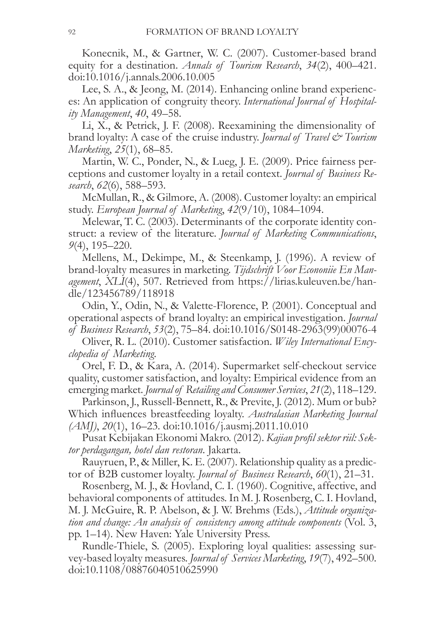Konecnik, M., & Gartner, W. C. (2007). Customer-based brand equity for a destination. Annals of Tourism Research, 34(2), 400-421.  $\frac{1011016}{i}$ .annals.2006.10.005

Lee, S. A., & Jeong, M. (2014). Enhancing online brand experiences: An application of congruity theory. International Journal of Hospitality Management, 40, 49–58.

Li, X., & Petrick, J. F. (2008). Reexamining the dimensionality of brand loyalty: A case of the cruise industry. *Journal of Travel*  $\mathcal{C}^*$  *Tourism Marketing*, 25(1), 68–85.

Martin, W. C., Ponder, N., & Lueg, J. E. (2009). Price fairness perceptions and customer loyalty in a retail context. Journal of Business Research, 62(6), 588–593.

McMullan, R., & Gilmore, A. (2008). Customer loyalty: an empirical study. European Journal of Marketing, 42(9/10), 1084-1094.

Melewar, T. C. (2003). Determinants of the corporate identity construct: a review of the literature. Journal of Marketing Communications,  $9(4)$ , 195-220.

Mellens, M., Dekimpe, M., & Steenkamp, J. (1996). A review of brand-loyalty measures in marketing. Tijdschrift Voor Econoniie En Management, XLI(4), 507. Retrieved from https://lirias.kuleuven.be/handle/123456789/118918

Odin, Y., Odin, N., & Valette-Florence, P. (2001). Conceptual and operational aspects of brand loyalty: an empirical investigation. Journal of Business Research, 53(2), 75-84. doi:10.1016/S0148-2963(99)00076-4

Oliver, R. L. (2010). Customer satisfaction. Wiley International Encyclopedia of Marketing.

Orel, F. D., & Kara, A. (2014). Supermarket self-checkout service quality, customer satisfaction, and loyalty: Empirical evidence from an emerging market. Journal of Retailing and Consumer Services, 21(2), 118–129.

Parkinson, J., Russell-Bennett, R., & Previte, J. (2012). Mum or bub? Which influences breastfeeding loyalty. Australasian Marketing Journal  $(AM<sub>l</sub>), 20(1), 16–23. \text{ doi:10.1016/j.ausmi.2011.10.010}$ 

Pusat Kebijakan Ekonomi Makro. (2012). Kajian profil sektor riil: Sektor perdagangan, hotel dan restoran. Jakarta.

Rauyruen, P., & Miller, K. E. (2007). Relationship quality as a predictor of B2B customer loyalty. *Journal of Business Research*, 60(1), 21–31.

Rosenberg, M. J., & Hovland, C. I. (1960). Cognitive, affective, and behavioral components of attitudes. In M. J. Rosenberg, C. I. Hovland, M. J. McGuire, R. P. Abelson, & J. W. Brehms (Eds.), Attitude organization and change: An analysis of consistency among attitude components (Vol. 3, pp. 1–14). New Haven: Yale University Press.

Rundle-Thiele, S. (2005). Exploring loyal qualities: assessing survey-based loyalty measures. Journal of Services Marketing, 19(7), 492–500. doi:10.1108/08876040510625990